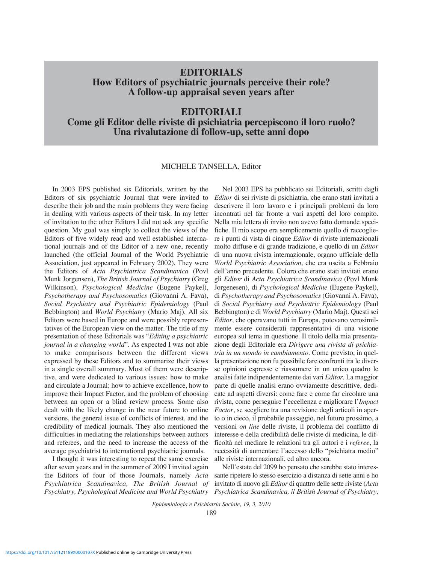# **EDITORIALS How Editors of psychiatric journals perceive their role? A follow-up appraisal seven years after**

## **EDITORIALI**

**Come gli Editor delle riviste di psichiatria percepiscono il loro ruolo? Una rivalutazione di follow-up, sette anni dopo**

#### MICHELE TANSELLA, Editor

In 2003 EPS published six Editorials, written by the Editors of six psychiatric Journal that were invited to describe their job and the main problems they were facing in dealing with various aspects of their task. In my letter of invitation to the other Editors I did not ask any specific question. My goal was simply to collect the views of the Editors of five widely read and well established international journals and of the Editor of a new one, recently launched (the official Journal of the World Psychiatric Association, just appeared in February 2002). They were the Editors of *Acta Psychiatrica Scandinavica* (Povl Munk Jorgensen), *The British Journal of Psychiatry* (Greg Wilkinson), *Psychological Medicine* (Eugene Paykel), *Psychotherapy and Psychosomatics* (Giovanni A. Fava), *Social Psychiatry and Psychiatric Epidemiology* (Paul Bebbington) and *World Psychiatry* (Mario Maj). All six Editors were based in Europe and were possibly representatives of the European view on the matter. The title of my presentation of these Editorials was "*Editing a psychiatric journal in a changing world*". As expected I was not able to make comparisons between the different views expressed by these Editors and to summarize their views in a single overall summary. Most of them were descriptive, and were dedicated to various issues: how to make and circulate a Journal; how to achieve excellence, how to improve their Impact Factor, and the problem of choosing between an open or a blind review process. Some also dealt with the likely change in the near future to online versions, the general issue of conflicts of interest, and the credibility of medical journals. They also mentioned the difficulties in mediating the relationships between authors and referees, and the need to increase the access of the average psychiatrist to international psychiatric journals.

Psychiatry, Psychological Medicine and World Psychiatry Psychiatrica Scandinavica, il British Journal of Psychiatry, I thought it was interesting to repeat the same exercise after seven years and in the summer of 2009 I invited again the Editors of four of those Journals, namely *Acta Psychiatrica Scandinavica, The British Journal of*

Nel 2003 EPS ha pubblicato sei Editoriali, scritti dagli *Editor* di sei riviste di psichiatria, che erano stati invitati a descrivere il loro lavoro e i principali problemi da loro incontrati nel far fronte a vari aspetti del loro compito. Nella mia lettera di invito non avevo fatto domande specifiche. Il mio scopo era semplicemente quello di raccogliere i punti di vista di cinque *Editor* di riviste internazionali molto diffuse e di grande tradizione, e quello di un *Editor* di una nuova rivista internazionale, organo ufficiale della *World Psychiatric Association*, che era uscita a Febbraio dell'anno precedente. Coloro che erano stati invitati erano gli *Editor* di *Acta Psychiatrica Scandinavica* (Povl Munk Jorgenesen), di *Psychological Medicine* (Eugene Paykel), di *Psychotherapy and Psychosomatics* (Giovanni A. Fava), di *Social Psychiatry and Psychiatric Epidemiology* (Paul Bebbington) e di *World Psychiatry* (Mario Maj). Questi sei *Editor*, che operavano tutti in Europa, potevano verosimilmente essere considerati rappresentativi di una visione europea sul tema in questione. Il titolo della mia presentazione degli Editoriale era *Dirigere una rivista di psichiatria in un mondo in cambiamento*. Come previsto, in quella presentazione non fu possibile fare confronti tra le diverse opinioni espresse e riassumere in un unico quadro le analisi fatte indipendentemente dai vari *Editor*. La maggior parte di quelle analisi erano ovviamente descrittive, dedicate ad aspetti diversi: come fare e come far circolare una rivista, come perseguire l'eccellenza e migliorare l'*Impact Factor*, se scegliere tra una revisione degli articoli in aperto o in cieco, il probabile passaggio, nel futuro prossimo, a versioni *on line* delle riviste, il problema del conflitto di interesse e della credibilità delle riviste di medicina, le difficoltà nel mediare le relazioni tra gli autori e i *referee*, la necessità di aumentare l'accesso dello "psichiatra medio" alle riviste internazionali, ed altro ancora.

Nell'estate del 2099 ho pensato che sarebbe stato interessante ripetere lo stesso esercizio a distanza di sette anni e ho invitato di nuovo gli *Editor* di quattro delle sette riviste (*Acta*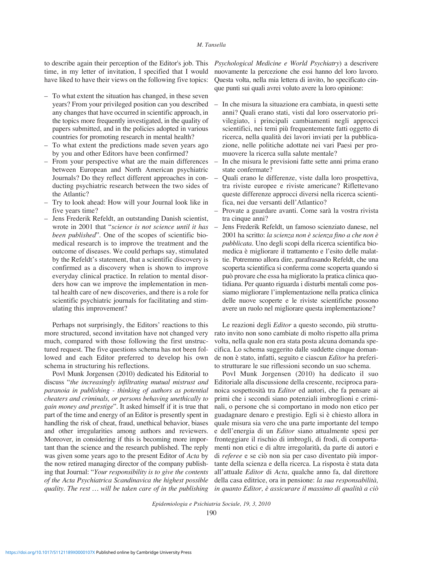#### *M. Tansella*

to describe again their perception of the Editor's job. This time, in my letter of invitation, I specified that I would have liked to have their views on the following five topics:

- To what extent the situation has changed, in these seven years? From your privileged position can you described any changes that have occurred in scientific approach, in the topics more frequently investigated, in the quality of papers submitted, and in the policies adopted in various countries for promoting research in mental health?
- To what extent the predictions made seven years ago by you and other Editors have been confirmed?
- From your perspective what are the main differences between European and North American psychiatric Journals? Do they reflect different approaches in conducting psychiatric research between the two sides of the Atlantic?
- Try to look ahead: How will your Journal look like in five years time?
- Jens Frederik Refeldt, an outstanding Danish scientist, wrote in 2001 that "*science is not science until it has been published*". One of the scopes of scientific biomedical research is to improve the treatment and the outcome of diseases. We could perhaps say, stimulated by the Refeldt's statement, that a scientific discovery is confirmed as a discovery when is shown to improve everyday clinical practice. In relation to mental disorders how can we improve the implementation in mental health care of new discoveries, and there is a role for scientific psychiatric journals for facilitating and stimulating this improvement?

Perhaps not surprisingly, the Editors' reactions to this more structured, second invitation have not changed very much, compared with those following the first unstructured request. The five questions schema has not been followed and each Editor preferred to develop his own schema in structuring his reflections.

Povl Munk Jorgensen (2010) dedicated his Editorial to discuss "*the increasingly infiltrating mutual mistrust and paranoia in publishing - thinking of authors as potential cheaters and criminals, or persons behaving unethically to gain money and prestige*". It asked himself if it is true that part of the time and energy of an Editor is presently spent in handling the risk of cheat, fraud, unethical behavior, biases and other irregularities among authors and reviewers. Moreover, in considering if this is becoming more important than the science and the research published. The reply was given some years ago to the present Editor of *Acta* by the now retired managing director of the company publishing that Journal: "*Your responsibility is to give the contents of the Acta Psychiatrica Scandinavica the highest possible quality. The rest … will be taken care of in the publishing*

*Psychological Medicine e World Psychiatry*) a descrivere nuovamente la percezione che essi hanno del loro lavoro. Questa volta, nella mia lettera di invito, ho specificato cinque punti sui quali avrei voluto avere la loro opinione:

- In che misura la situazione era cambiata, in questi sette anni? Quali erano stati, visti dal loro osservatorio privilegiato, i principali cambiamenti negli approcci scientifici, nei temi più frequentemente fatti oggetto di ricerca, nella qualità dei lavori inviati per la pubblicazione, nelle politiche adottate nei vari Paesi per promuovere la ricerca sulla salute mentale?
- In che misura le previsioni fatte sette anni prima erano state confermate?
- Quali erano le differenze, viste dalla loro prospettiva, tra riviste europee e riviste americane? Riflettevano queste differenze approcci diversi nella ricerca scientifica, nei due versanti dell'Atlantico?
- Provate a guardare avanti. Come sarà la vostra rivista tra cinque anni?
- Jens Frederik Refeldt, un famoso scienziato danese, nel 2001 ha scritto: *la scienza non è scienza fino a che non è pubblicata*. Uno degli scopi della ricerca scientifica biomedica è migliorare il trattamento e l'esito delle malattie. Potremmo allora dire, parafrasando Refeldt, che una scoperta scientifica si conferma come scoperta quando si può provare che essa ha migliorato la pratica clinica quotidiana. Per quanto riguarda i disturbi mentali come possiamo migliorare l'implementazione nella pratica clinica delle nuove scoperte e le riviste scientifiche possono avere un ruolo nel migliorare questa implementazione?

Le reazioni degli *Editor* a questo secondo, più strutturato invito non sono cambiate di molto rispetto alla prima volta, nella quale non era stata posta alcuna domanda specifica. Lo schema suggerito dalle suddette cinque domande non è stato, infatti, seguito e ciascun *Editor* ha preferito strutturare le sue riflessioni secondo un suo schema.

Povl Munk Jorgensen (2010) ha dedicato il suo Editoriale alla discussione della crescente, reciproca paranoica sospettosità tra *Editor* ed autori, che fa pensare ai primi che i secondi siano potenziali imbroglioni e criminali, o persone che si comportano in modo non etico per guadagnare denaro e prestigio. Egli si è chiesto allora in quale misura sia vero che una parte importante del tempo e dell'energia di un *Editor* siano attualmente spesi per fronteggiare il rischio di imbrogli, di frodi, di comportamenti non etici e di altre irregolarità, da parte di autori e di *referee* e se ciò non sia per caso diventato più importante della scienza e della ricerca. La risposta è stata data all'attuale *Editor* di *Acta*, qualche anno fa, dal direttore della casa editrice, ora in pensione: *la sua responsabilità, in quanto Editor, è assicurare il massimo di qualità a ciò*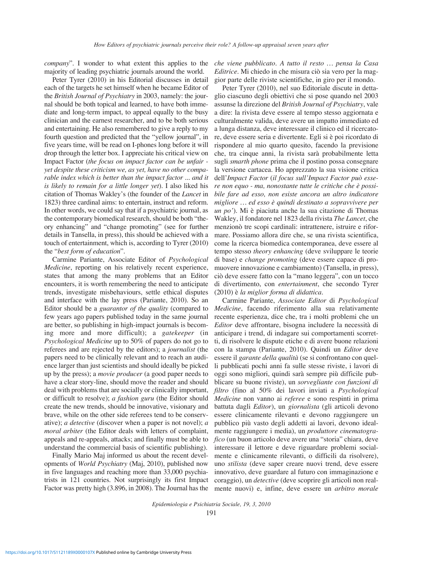*company*". I wonder to what extent this applies to the majority of leading psychiatric journals around the world.

Peter Tyrer (2010) in his Editorial discusses in detail each of the targets he set himself when he became Editor of the *British Journal of Psychiatry* in 2003, namely: the journal should be both topical and learned, to have both immediate and long-term impact, to appeal equally to the busy clinician and the earnest researcher, and to be both serious and entertaining. He also remembered to give a reply to my fourth question and predicted that the "yellow journal", in five years time, will be read on I-phones long before it will drop through the letter box. I appreciate his critical view on Impact Factor (*the focus on impact factor can be unfair yet despite these criticism we, as yet, have no other comparable index which is better than the impact factor ... and it is likely to remain for a little longer yet*). I also liked his citation of Thomas Wakley's (the founder of the *Lancet* in 1823) three cardinal aims: to entertain, instruct and reform. In other words, we could say that if a psychiatric journal, as the contemporary biomedical research, should be both "theory enhancing" and "change promoting" (see for further details in Tansella, in press), this should be achieved with a touch of entertainment, which is, according to Tyrer (2010) the "*best form of education*".

Carmine Pariante, Associate Editor of *Psychological Medicine*, reporting on his relatively recent experience, states that among the many problems that an Editor encounters, it is worth remembering the need to anticipate trends, investigate misbehaviours, settle ethical disputes and interface with the lay press (Pariante, 2010). So an Editor should be a *guarantor of the quality* (compared to few years ago papers published today in the same journal are better, so publishing in high-impact journals is becoming more and more difficult); a *gatekeeper* (in *Psychological Medicine* up to 50% of papers do not go to referees and are rejected by the editors); a *journalist* (the papers need to be clinically relevant and to reach an audience larger than just scientists and should ideally be picked up by the press); a *movie producer* (a good paper needs to have a clear story-line, should move the reader and should deal with problems that are socially or clinically important, or difficult to resolve); *a fashion guru* (the Editor should create the new trends, should be innovative, visionary and brave, while on the other side referees tend to be conservative); *a detective* (discover when a paper is not novel); *a moral arbiter* (the Editor deals with letters of complaint, appeals and re-appeals, attacks; and finally must be able to understand the commercial basis of scientific publishing).

Finally Mario Maj informed us about the recent developments of *World Psychiatry* (Maj, 2010), published now in five languages and reaching more than 33,000 psychiatrists in 121 countries. Not surprisingly its first Impact Factor was pretty high (3.896, in 2008). The Journal has the

*che viene pubblicato. A tutto il resto … pensa la Casa Editrice*. Mi chiedo in che misura ciò sia vero per la maggior parte delle riviste scientifiche, in giro per il mondo.

Peter Tyrer (2010), nel suo Editoriale discute in dettaglio ciascuno degli obiettivi che si pose quando nel 2003 assunse la direzione del *British Journal of Psychiatry*, vale a dire: la rivista deve essere al tempo stesso aggiornata e culturalmente valida, deve avere un impatto immediato ed a lunga distanza, deve interessare il clinico ed il ricercatore, deve essere seria e divertente. Egli si è poi ricordato di rispondere al mio quarto quesito, facendo la previsione che, tra cinque anni, la rivista sarà probabilmente letta sugli *smarth phone* prima che il postino possa consegnare la versione cartacea. Ho apprezzato la sua visione critica dell'*Impact Factor* (*il focus sull'Impact Factor può essere non equo - ma, nonostante tutte le critiche che è possibile fare ad esso, non esiste ancora un altro indicatore migliore … ed esso è quindi destinato a sopravvivere per un po'*). Mi è piaciuta anche la sua citazione di Thomas Wakley, il fondatore nel 1823 della rivista *The Lancet*, che menzionò tre scopi cardinali: intrattenere, istruire e riformare. Possiamo allora dire che, se una rivista scientifica, come la ricerca biomedica contemporanea, deve essere al tempo stesso *theory enhancing* (deve sviluppare le teorie di base) e *change promoting* (deve essere capace di promuovere innovazione e cambiamento) (Tansella, in press), ciò deve essere fatto con la "mano leggera", con un tocco di divertimento, con *entertainment*, che secondo Tyrer (2010) è *la miglior forma di didattica*.

Carmine Pariante, *Associate Editor* di *Psychological Medicine*, facendo riferimento alla sua relativamente recente esperienza, dice che, tra i molti problemi che un *Editor* deve affrontare, bisogna includere la necessità di anticipare i trend, di indagare sui comportamenti scorretti, di risolvere le dispute etiche e di avere buone relazioni con la stampa (Pariante, 2010). Quindi un *Editor* deve essere il *garante della qualità* (se si confrontano con quelli pubblicati pochi anni fa sulle stesse riviste, i lavori di oggi sono migliori, quindi sarà sempre più difficile pubblicare su buone riviste), un *sorvegliante con funzioni di filtro* (fino al 50% dei lavori inviati a *Psychological Medicine* non vanno ai *referee* e sono respinti in prima battuta dagli *Editor*), un *giornalista* (gli articoli devono essere clinicamente rilevanti e devono raggiungere un pubblico più vasto degli addetti ai lavori, devono idealmente raggiungere i media), un *produttore cinematografico* (un buon articolo deve avere una "storia" chiara, deve interessare il lettore e deve riguardare problemi socialmente e clinicamente rilevanti, o difficili da risolvere), uno *stilista* (deve saper creare nuovi trend, deve essere innovativo, deve guardare al futuro con immaginazione e coraggio), un *detective* (deve scoprire gli articoli non realmente nuovi) e, infine, deve essere un *arbitro morale*